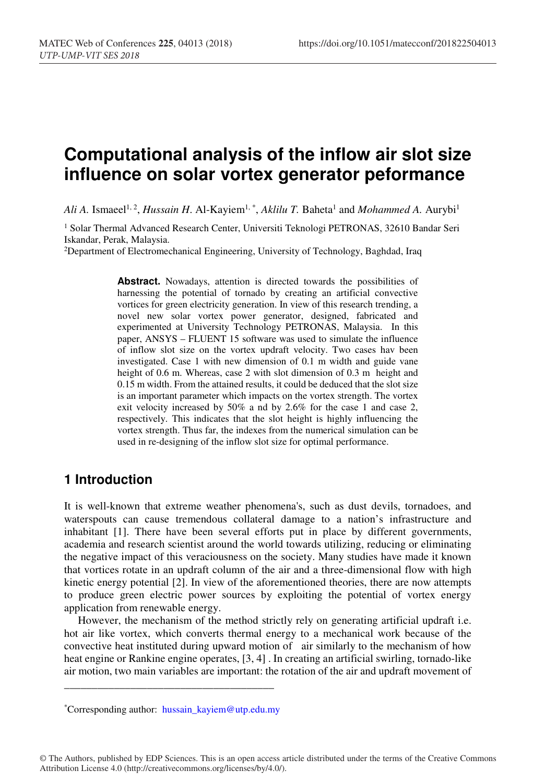# **Computational analysis of the inflow air slot size influence on solar vortex generator peformance**

*Ali A.* Ismaeel<sup>1, 2</sup>, *Hussain H.* Al-Kayiem<sup>1, \*</sup>, *Aklilu T.* Baheta<sup>1</sup> and *Mohammed A.* Aurybi<sup>1</sup>

<sup>1</sup> Solar Thermal Advanced Research Center, Universiti Teknologi PETRONAS, 32610 Bandar Seri Iskandar, Perak, Malaysia.

2Department of Electromechanical Engineering, University of Technology, Baghdad, Iraq

**Abstract.** Nowadays, attention is directed towards the possibilities of harnessing the potential of tornado by creating an artificial convective vortices for green electricity generation. In view of this research trending, a novel new solar vortex power generator, designed, fabricated and experimented at University Technology PETRONAS, Malaysia. In this paper, ANSYS – FLUENT 15 software was used to simulate the influence of inflow slot size on the vortex updraft velocity. Two cases hav been investigated. Case 1 with new dimension of 0.1 m width and guide vane height of 0.6 m. Whereas, case 2 with slot dimension of 0.3 m height and 0.15 m width. From the attained results, it could be deduced that the slot size is an important parameter which impacts on the vortex strength. The vortex exit velocity increased by 50% a nd by 2.6% for the case 1 and case 2, respectively. This indicates that the slot height is highly influencing the vortex strength. Thus far, the indexes from the numerical simulation can be used in re-designing of the inflow slot size for optimal performance.

# **1 Introduction**

It is well-known that extreme weather phenomena's, such as dust devils, tornadoes, and waterspouts can cause tremendous collateral damage to a nation's infrastructure and inhabitant [1]. There have been several efforts put in place by different governments, academia and research scientist around the world towards utilizing, reducing or eliminating the negative impact of this veraciousness on the society. Many studies have made it known that vortices rotate in an updraft column of the air and a three-dimensional flow with high kinetic energy potential [2]. In view of the aforementioned theories, there are now attempts to produce green electric power sources by exploiting the potential of vortex energy application from renewable energy.

 However, the mechanism of the method strictly rely on generating artificial updraft i.e. hot air like vortex, which converts thermal energy to a mechanical work because of the convective heat instituted during upward motion of air similarly to the mechanism of how heat engine or Rankine engine operates, [3, 4]. In creating an artificial swirling, tornado-like air motion, two main variables are important: the rotation of the air and updraft movement of

\_\_\_\_\_\_\_\_\_\_\_\_\_\_\_\_\_\_\_\_\_\_\_\_\_\_\_\_\_\_\_\_\_\_\_\_\_\_

© The Authors, published by EDP Sciences. This is an open access article distributed under the terms of the Creative Commons Attribution License 4.0 (http://creativecommons.org/licenses/by/4.0/).

<sup>\*</sup>Corresponding author: hussain\_kayiem@utp.edu.my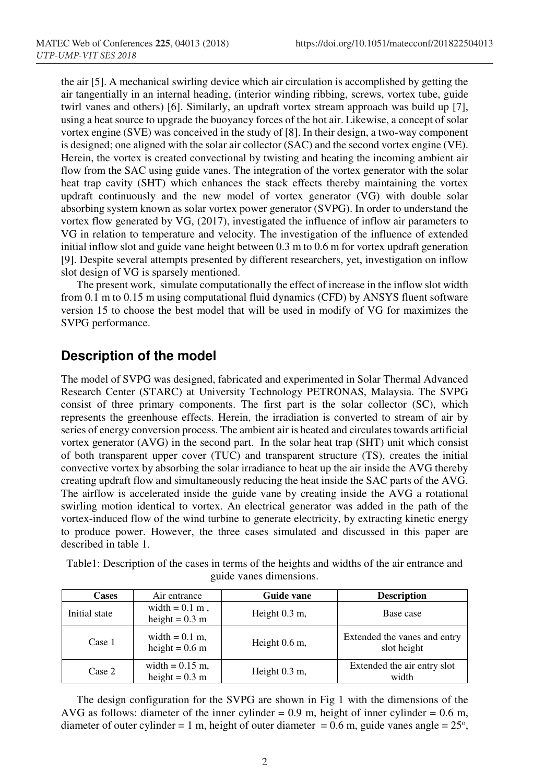the air [5]. A mechanical swirling device which air circulation is accomplished by getting the air tangentially in an internal heading, (interior winding ribbing, screws, vortex tube, guide twirl vanes and others) [6]. Similarly, an updraft vortex stream approach was build up [7], using a heat source to upgrade the buoyancy forces of the hot air. Likewise, a concept of solar vortex engine (SVE) was conceived in the study of [8]. In their design, a two-way component is designed; one aligned with the solar air collector (SAC) and the second vortex engine (VE). Herein, the vortex is created convectional by twisting and heating the incoming ambient air flow from the SAC using guide vanes. The integration of the vortex generator with the solar heat trap cavity (SHT) which enhances the stack effects thereby maintaining the vortex updraft continuously and the new model of vortex generator (VG) with double solar absorbing system known as solar vortex power generator (SVPG). In order to understand the vortex flow generated by VG, (2017), investigated the influence of inflow air parameters to VG in relation to temperature and velocity. The investigation of the influence of extended initial inflow slot and guide vane height between 0.3 m to 0.6 m for vortex updraft generation [9]. Despite several attempts presented by different researchers, yet, investigation on inflow slot design of VG is sparsely mentioned.

The present work, simulate computationally the effect of increase in the inflow slot width from 0.1 m to 0.15 m using computational fluid dynamics (CFD) by ANSYS fluent software version 15 to choose the best model that will be used in modify of VG for maximizes the SVPG performance.

### **Description of the model**

The model of SVPG was designed, fabricated and experimented in Solar Thermal Advanced Research Center (STARC) at University Technology PETRONAS, Malaysia. The SVPG consist of three primary components. The first part is the solar collector (SC), which represents the greenhouse effects. Herein, the irradiation is converted to stream of air by series of energy conversion process. The ambient air is heated and circulates towards artificial vortex generator (AVG) in the second part. In the solar heat trap (SHT) unit which consist of both transparent upper cover (TUC) and transparent structure (TS), creates the initial convective vortex by absorbing the solar irradiance to heat up the air inside the AVG thereby creating updraft flow and simultaneously reducing the heat inside the SAC parts of the AVG. The airflow is accelerated inside the guide vane by creating inside the AVG a rotational swirling motion identical to vortex. An electrical generator was added in the path of the vortex-induced flow of the wind turbine to generate electricity, by extracting kinetic energy to produce power. However, the three cases simulated and discussed in this paper are described in table 1.

| Cases         | Air entrance                                  | Guide vane      | <b>Description</b>                          |
|---------------|-----------------------------------------------|-----------------|---------------------------------------------|
| Initial state | width $= 0.1$ m,<br>height = $0.3 \text{ m}$  | Height $0.3$ m, | Base case                                   |
| Case 1        | width $= 0.1$ m.<br>height = $0.6$ m          | Height $0.6$ m, | Extended the vanes and entry<br>slot height |
| Case 2        | width $= 0.15$ m,<br>height = $0.3 \text{ m}$ | Height $0.3$ m, | Extended the air entry slot<br>width        |

Table1: Description of the cases in terms of the heights and widths of the air entrance and guide vanes dimensions.

 The design configuration for the SVPG are shown in Fig 1 with the dimensions of the AVG as follows: diameter of the inner cylinder =  $0.9$  m, height of inner cylinder =  $0.6$  m, diameter of outer cylinder = 1 m, height of outer diameter = 0.6 m, guide vanes angle =  $25^{\circ}$ ,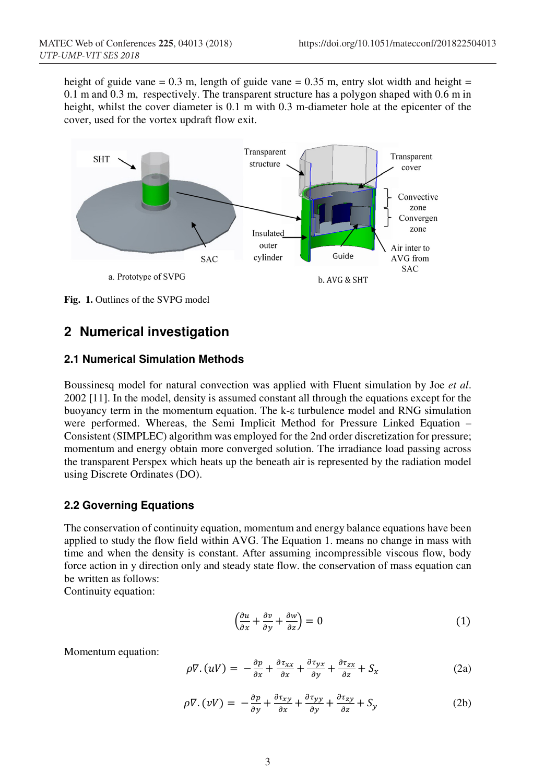height of guide vane =  $0.3$  m, length of guide vane =  $0.35$  m, entry slot width and height = 0.1 m and 0.3 m, respectively. The transparent structure has a polygon shaped with 0.6 m in height, whilst the cover diameter is 0.1 m with 0.3 m-diameter hole at the epicenter of the cover, used for the vortex updraft flow exit.



**Fig. 1.** Outlines of the SVPG model

# **2 Numerical investigation**

#### **2.1 Numerical Simulation Methods**

Boussinesq model for natural convection was applied with Fluent simulation by Joe *et al*. 2002 [11]. In the model, density is assumed constant all through the equations except for the buoyancy term in the momentum equation. The k-ε turbulence model and RNG simulation were performed. Whereas, the Semi Implicit Method for Pressure Linked Equation – Consistent (SIMPLEC) algorithm was employed for the 2nd order discretization for pressure; momentum and energy obtain more converged solution. The irradiance load passing across the transparent Perspex which heats up the beneath air is represented by the radiation model using Discrete Ordinates (DO).

### **2.2 Governing Equations**

The conservation of continuity equation, momentum and energy balance equations have been applied to study the flow field within AVG. The Equation 1. means no change in mass with time and when the density is constant. After assuming incompressible viscous flow, body force action in y direction only and steady state flow. the conservation of mass equation can be written as follows:

Continuity equation:

$$
\left(\frac{\partial u}{\partial x} + \frac{\partial v}{\partial y} + \frac{\partial w}{\partial z}\right) = 0\tag{1}
$$

Momentum equation:

$$
\rho \nabla . (uV) = -\frac{\partial p}{\partial x} + \frac{\partial \tau_{xx}}{\partial x} + \frac{\partial \tau_{yx}}{\partial y} + \frac{\partial \tau_{zx}}{\partial z} + S_x \tag{2a}
$$

$$
\rho \nabla . (vV) = -\frac{\partial p}{\partial y} + \frac{\partial \tau_{xy}}{\partial x} + \frac{\partial \tau_{yy}}{\partial y} + \frac{\partial \tau_{zy}}{\partial z} + S_y \tag{2b}
$$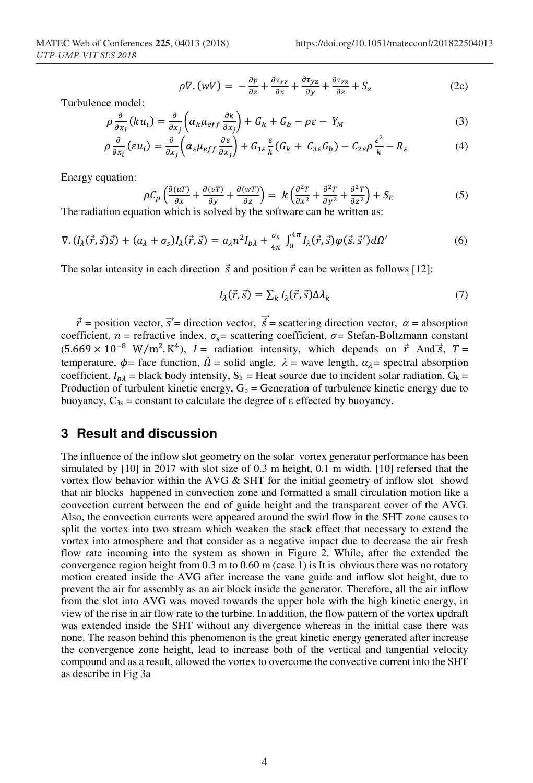$$
\rho \nabla . (wV) = -\frac{\partial p}{\partial z} + \frac{\partial \tau_{xz}}{\partial x} + \frac{\partial \tau_{yz}}{\partial y} + \frac{\partial \tau_{zz}}{\partial z} + S_z \tag{2c}
$$

Turbulence model:

$$
\rho \frac{\partial}{\partial x_i} (ku_i) = \frac{\partial}{\partial x_j} \left( \alpha_k \mu_{eff} \frac{\partial k}{\partial x_j} \right) + G_k + G_b - \rho \varepsilon - Y_M \tag{3}
$$

$$
\rho \frac{\partial}{\partial x_i} (\varepsilon u_i) = \frac{\partial}{\partial x_j} \left( \alpha_\varepsilon \mu_{eff} \frac{\partial \varepsilon}{\partial x_j} \right) + G_{1\varepsilon} \frac{\varepsilon}{k} (G_k + C_{3\varepsilon} G_b) - C_{2\varepsilon} \rho \frac{\varepsilon^2}{k} - R_\varepsilon \tag{4}
$$

Energy equation:

$$
\rho C_p \left( \frac{\partial (u\tau)}{\partial x} + \frac{\partial (v\tau)}{\partial y} + \frac{\partial (w\tau)}{\partial z} \right) = k \left( \frac{\partial^2 \tau}{\partial x^2} + \frac{\partial^2 \tau}{\partial y^2} + \frac{\partial^2 \tau}{\partial z^2} \right) + S_E
$$
 (5)

The radiation equation which is solved by the software can be written as:

$$
\nabla \cdot (I_{\lambda}(\vec{r},\vec{s})\vec{s}) + (a_{\lambda} + \sigma_{s})I_{\lambda}(\vec{r},\vec{s}) = a_{\lambda}n^{2}I_{b\lambda} + \frac{\sigma_{s}}{4\pi} \int_{0}^{4\pi} I_{\lambda}(\vec{r},\vec{s})\varphi(\vec{s},\vec{s}')d\Omega'
$$
(6)

The solar intensity in each direction  $\vec{s}$  and position  $\vec{r}$  can be written as follows [12]:

$$
I_{\lambda}(\vec{r},\vec{s}) = \sum_{k} I_{\lambda}(\vec{r},\vec{s}) \Delta \lambda_{k}
$$
 (7)

 $\vec{r}$  = position vector,  $\vec{s}$  = direction vector,  $\vec{s}$  = scattering direction vector,  $\alpha$  = absorption coefficient,  $n =$  refractive index,  $\sigma_s =$  scattering coefficient,  $\sigma =$  Stefan-Boltzmann constant  $(5.669 \times 10^{-8} \text{ W/m}^2 \text{K}^4)$ ,  $I =$  radiation intensity, which depends on  $\vec{r}$  And  $\vec{s}$ ,  $T =$ temperature,  $\phi$  = face function,  $\acute{\Omega}$  = solid angle,  $\lambda$  = wave length,  $\alpha_{\lambda}$  = spectral absorption coefficient,  $I_{b\lambda}$  = black body intensity,  $S_h$  = Heat source due to incident solar radiation,  $G_k$  = Production of turbulent kinetic energy,  $G_b$  = Generation of turbulence kinetic energy due to buoyancy,  $C_{3ε}$  = constant to calculate the degree of ε effected by buoyancy.

#### **3 Result and discussion**

The influence of the inflow slot geometry on the solar vortex generator performance has been simulated by [10] in 2017 with slot size of 0.3 m height, 0.1 m width. [10] refersed that the vortex flow behavior within the AVG & SHT for the initial geometry of inflow slot showd that air blocks happened in convection zone and formatted a small circulation motion like a convection current between the end of guide height and the transparent cover of the AVG. Also, the convection currents were appeared around the swirl flow in the SHT zone causes to split the vortex into two stream which weaken the stack effect that necessary to extend the vortex into atmosphere and that consider as a negative impact due to decrease the air fresh flow rate incoming into the system as shown in Figure 2. While, after the extended the convergence region height from 0.3 m to 0.60 m (case 1) is It is obvious there was no rotatory motion created inside the AVG after increase the vane guide and inflow slot height, due to prevent the air for assembly as an air block inside the generator. Therefore, all the air inflow from the slot into AVG was moved towards the upper hole with the high kinetic energy, in view of the rise in air flow rate to the turbine. In addition, the flow pattern of the vortex updraft was extended inside the SHT without any divergence whereas in the initial case there was none. The reason behind this phenomenon is the great kinetic energy generated after increase the convergence zone height, lead to increase both of the vertical and tangential velocity compound and as a result, allowed the vortex to overcome the convective current into the SHT as describe in Fig 3a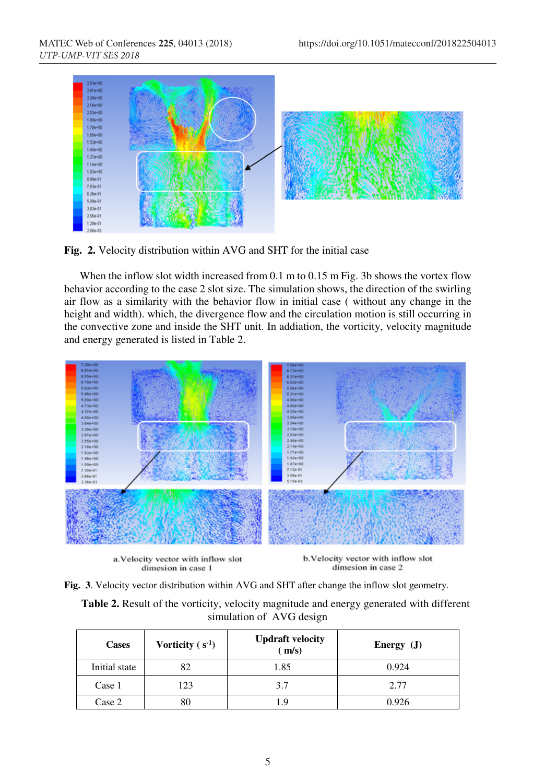

**Fig. 2.** Velocity distribution within AVG and SHT for the initial case

When the inflow slot width increased from 0.1 m to 0.15 m Fig. 3b shows the vortex flow behavior according to the case 2 slot size. The simulation shows, the direction of the swirling air flow as a similarity with the behavior flow in initial case ( without any change in the height and width). which, the divergence flow and the circulation motion is still occurring in the convective zone and inside the SHT unit. In addiation, the vorticity, velocity magnitude and energy generated is listed in Table 2.



a. Velocity vector with inflow slot dimesion in case 1

b. Velocity vector with inflow slot dimesion in case 2

**Fig. 3**. Velocity vector distribution within AVG and SHT after change the inflow slot geometry.

**Table 2.** Result of the vorticity, velocity magnitude and energy generated with different simulation of AVG design

| <b>Cases</b>  | Vorticity $(s^{-1})$ | <b>Updraft velocity</b><br>(m/s) | Energy $(J)$ |
|---------------|----------------------|----------------------------------|--------------|
| Initial state |                      | 1.85                             | 0.924        |
| Case 1        | 123                  | 3.7                              | 2.77         |
| Case 2        |                      | 1.9                              | 0.926        |